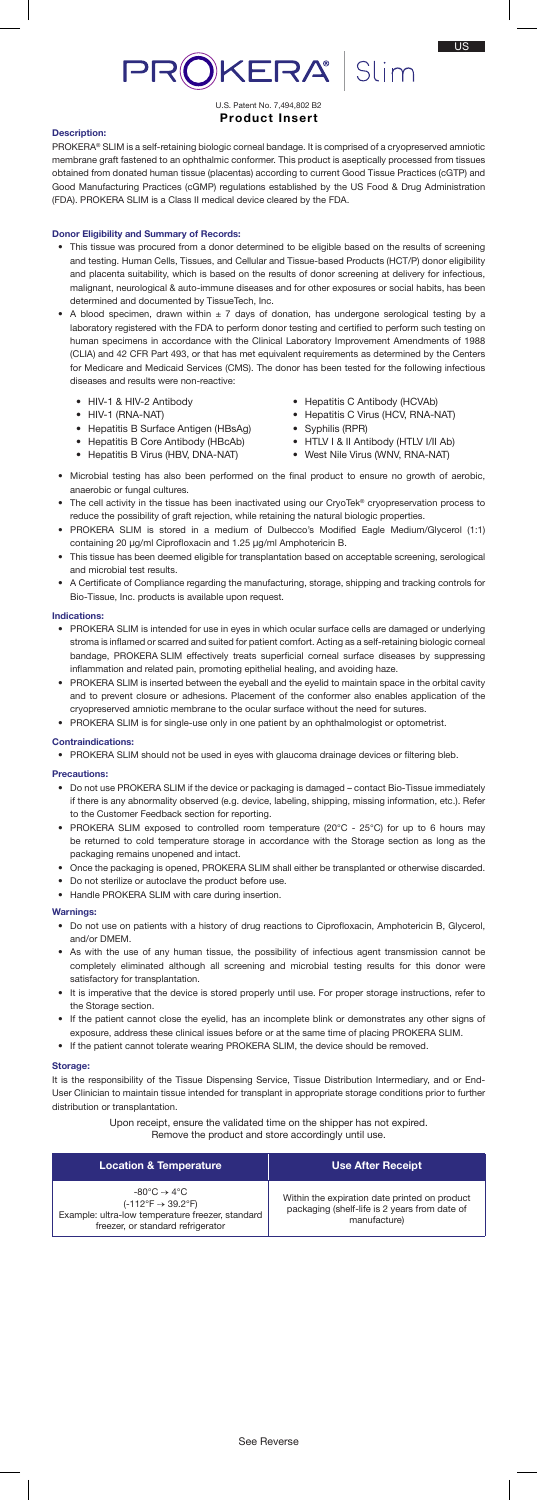# PROKERA<sup>'</sup> Slim U.S. Patent No. 7,494,802 B2

# **Product Insert**

# **Description:**

PROKERA® SLIM is a self-retaining biologic corneal bandage. It is comprised of a cryopreserved amniotic membrane graft fastened to an ophthalmic conformer. This product is aseptically processed from tissue obtained from donated human tissue (placentas) according to current Good Tissue Practices (cGTP) and Good Manufacturing Practices (cGMP) regulations established by the US Food & Drug Administration (FDA). PROKERA SLIM is a Class II medical device cleared by the FDA.

# **Donor Eligibility and Summary of Records:**

- This tissue was procured from a donor determined to be eligible based on the results of screening and testing. Human Cells, Tissues, and Cellular and Tissue-based Products (HCT/P) donor eligibility and placenta suitability, which is based on the results of donor screening at delivery for infectious, malignant, neurological & auto-immune diseases and for other exposures or social habits, has been determined and documented by TissueTech, Inc.
- A blood specimen, drawn within  $\pm$  7 days of donation, has undergone serological testing by a laboratory registered with the FDA to perform donor testing and certified to perform such testing on human specimens in accordance with the Clinical Laboratory Improvement Amendments of 1988 (CLIA) and 42 CFR Part 493, or that has met equivalent requirements as determined by the Centers for Medicare and Medicaid Services (CMS). The donor has been tested for the following infectious diseases and results were non-reactive:
	- HIV-1 & HIV-2 Antibody
	- HIV-1 (RNA-NAT)
	- Hepatitis B Surface Antigen (HBsAg)
	- Hepatitis B Core Antibody (HBcAb) • Hepatitis B Virus (HBV, DNA-NAT)
- Hepatitis C Antibody (HCVAb) • Hepatitis C Virus (HCV, RNA-NAT)
- Syphilis (RPR)
- HTLV I & II Antibody (HTLV I/II Ab)
- West Nile Virus (WNV, RNA-NAT)
- Microbial testing has also been performed on the final product to ensure no growth of aerobic, anaerobic or fungal cultures.
- The cell activity in the tissue has been inactivated using our CryoTek® cryopreservation process to reduce the possibility of graft rejection, while retaining the natural biologic properties.
- PROKERA SLIM is stored in a medium of Dulbecco's Modified Eagle Medium/Glycerol (1:1) containing 20 µg/ml Ciprofloxacin and 1.25 µg/ml Amphotericin B.
- This tissue has been deemed eligible for transplantation based on acceptable screening, serological and microbial test results.
- A Certificate of Compliance regarding the manufacturing, storage, shipping and tracking controls for Bio-Tissue, Inc. products is available upon request.

### **Indications:**

- PROKERA SLIM is intended for use in eyes in which ocular surface cells are damaged or underlying stroma is inflamed or scarred and suited for patient comfort. Acting as a self-retaining biologic corneal bandage, PROKERA SLIM effectively treats superficial corneal surface diseases by suppressing inflammation and related pain, promoting epithelial healing, and avoiding haze.
- PROKERA SLIM is inserted between the eyeball and the eyelid to maintain space in the orbital cavity and to prevent closure or adhesions. Placement of the conformer also enables application of the cryopreserved amniotic membrane to the ocular surface without the need for sutures.
- PROKERA SLIM is for single-use only in one patient by an ophthalmologist or optometrist.

#### **Contraindications:**

• PROKERA SLIM should not be used in eyes with glaucoma drainage devices or filtering bleb.

#### **Precautions:**

- Do not use PROKERA SLIM if the device or packaging is damaged contact Bio-Tissue immediately if there is any abnormality observed (e.g. device, labeling, shipping, missing information, etc.). Refer to the Customer Feedback section for reporting.
- PROKERA SLIM exposed to controlled room temperature (20 $\degree$ C 25 $\degree$ C) for up to 6 hours may be returned to cold temperature storage in accordance with the Storage section as long as the packaging remains unopened and intact.
- Once the packaging is opened, PROKERA SLIM shall either be transplanted or otherwise discarded. • Do not sterilize or autoclave the product before use.
- Handle PROKERA SLIM with care during insertion.

#### **Warnings:**

- Do not use on patients with a history of drug reactions to Ciprofloxacin, Amphotericin B, Glycerol, and/or DMEM.
- As with the use of any human tissue, the possibility of infectious agent transmission cannot be completely eliminated although all screening and microbial testing results for this donor were satisfactory for transplantation.
- It is imperative that the device is stored properly until use. For proper storage instructions, refer to the Storage section.
- If the patient cannot close the eyelid, has an incomplete blink or demonstrates any other signs of exposure, address these clinical issues before or at the same time of placing PROKERA SLIM.
- If the patient cannot tolerate wearing PROKERA SLIM, the device should be removed.

#### **Storage:**

It is the responsibility of the Tissue Dispensing Service, Tissue Distribution Intermediary, and or End-User Clinician to maintain tissue intended for transplant in appropriate storage conditions prior to further distribution or transplantation.

> Upon receipt, ensure the validated time on the shipper has not expired. Remove the product and store accordingly until use.

| <b>Location &amp; Temperature</b>                                                                                                                                                 | <b>Use After Receipt</b>                                                                                       |
|-----------------------------------------------------------------------------------------------------------------------------------------------------------------------------------|----------------------------------------------------------------------------------------------------------------|
| $-80^{\circ}$ C $\rightarrow 4^{\circ}$ C<br>$(-112^{\circ}F \rightarrow 39.2^{\circ}F)$<br>Example: ultra-low temperature freezer, standard<br>freezer, or standard refrigerator | Within the expiration date printed on product<br>packaging (shelf-life is 2 years from date of<br>manufacture) |